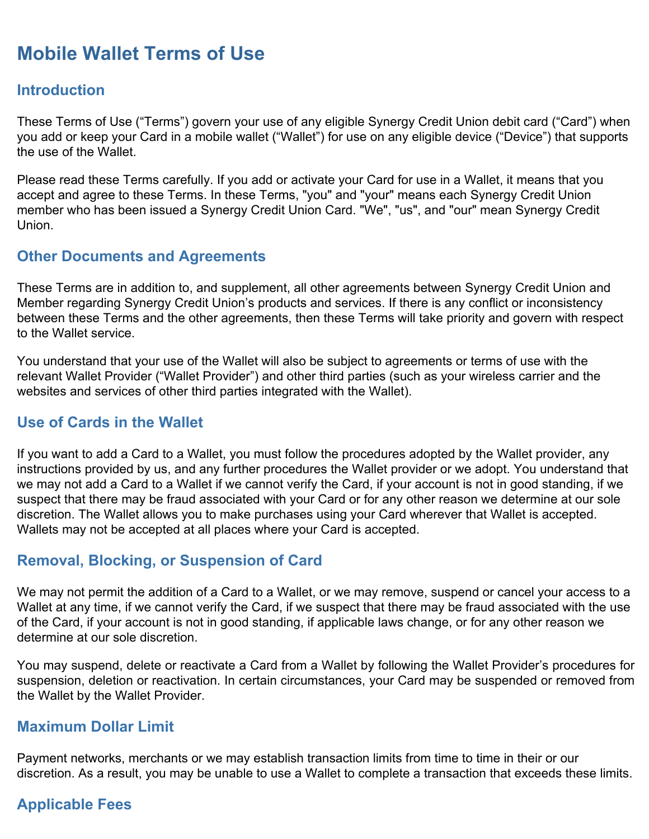# **Mobile Wallet Terms of Use**

## **Introduction**

These Terms of Use ("Terms") govern your use of any eligible Synergy Credit Union debit card ("Card") when you add or keep your Card in a mobile wallet ("Wallet") for use on any eligible device ("Device") that supports the use of the Wallet.

Please read these Terms carefully. If you add or activate your Card for use in a Wallet, it means that you accept and agree to these Terms. In these Terms, "you" and "your" means each Synergy Credit Union member who has been issued a Synergy Credit Union Card. "We", "us", and "our" mean Synergy Credit Union.

#### **Other Documents and Agreements**

These Terms are in addition to, and supplement, all other agreements between Synergy Credit Union and Member regarding Synergy Credit Union's products and services. If there is any conflict or inconsistency between these Terms and the other agreements, then these Terms will take priority and govern with respect to the Wallet service.

You understand that your use of the Wallet will also be subject to agreements or terms of use with the relevant Wallet Provider ("Wallet Provider") and other third parties (such as your wireless carrier and the websites and services of other third parties integrated with the Wallet).

#### **Use of Cards in the Wallet**

If you want to add a Card to a Wallet, you must follow the procedures adopted by the Wallet provider, any instructions provided by us, and any further procedures the Wallet provider or we adopt. You understand that we may not add a Card to a Wallet if we cannot verify the Card, if your account is not in good standing, if we suspect that there may be fraud associated with your Card or for any other reason we determine at our sole discretion. The Wallet allows you to make purchases using your Card wherever that Wallet is accepted. Wallets may not be accepted at all places where your Card is accepted.

#### **Removal, Blocking, or Suspension of Card**

We may not permit the addition of a Card to a Wallet, or we may remove, suspend or cancel your access to a Wallet at any time, if we cannot verify the Card, if we suspect that there may be fraud associated with the use of the Card, if your account is not in good standing, if applicable laws change, or for any other reason we determine at our sole discretion.

You may suspend, delete or reactivate a Card from a Wallet by following the Wallet Provider's procedures for suspension, deletion or reactivation. In certain circumstances, your Card may be suspended or removed from the Wallet by the Wallet Provider.

## **Maximum Dollar Limit**

Payment networks, merchants or we may establish transaction limits from time to time in their or our discretion. As a result, you may be unable to use a Wallet to complete a transaction that exceeds these limits.

## **Applicable Fees**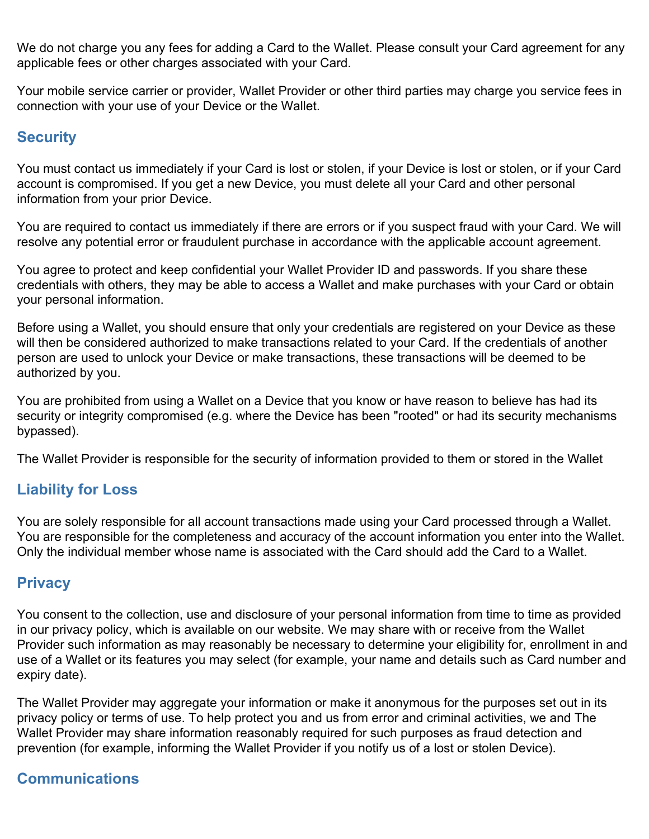We do not charge you any fees for adding a Card to the Wallet. Please consult your Card agreement for any applicable fees or other charges associated with your Card.

Your mobile service carrier or provider, Wallet Provider or other third parties may charge you service fees in connection with your use of your Device or the Wallet.

## **Security**

You must contact us immediately if your Card is lost or stolen, if your Device is lost or stolen, or if your Card account is compromised. If you get a new Device, you must delete all your Card and other personal information from your prior Device.

You are required to contact us immediately if there are errors or if you suspect fraud with your Card. We will resolve any potential error or fraudulent purchase in accordance with the applicable account agreement.

You agree to protect and keep confidential your Wallet Provider ID and passwords. If you share these credentials with others, they may be able to access a Wallet and make purchases with your Card or obtain your personal information.

Before using a Wallet, you should ensure that only your credentials are registered on your Device as these will then be considered authorized to make transactions related to your Card. If the credentials of another person are used to unlock your Device or make transactions, these transactions will be deemed to be authorized by you.

You are prohibited from using a Wallet on a Device that you know or have reason to believe has had its security or integrity compromised (e.g. where the Device has been "rooted" or had its security mechanisms bypassed).

The Wallet Provider is responsible for the security of information provided to them or stored in the Wallet

## **Liability for Loss**

You are solely responsible for all account transactions made using your Card processed through a Wallet. You are responsible for the completeness and accuracy of the account information you enter into the Wallet. Only the individual member whose name is associated with the Card should add the Card to a Wallet.

## **Privacy**

You consent to the collection, use and disclosure of your personal information from time to time as provided in our privacy policy, which is available on our website. We may share with or receive from the Wallet Provider such information as may reasonably be necessary to determine your eligibility for, enrollment in and use of a Wallet or its features you may select (for example, your name and details such as Card number and expiry date).

The Wallet Provider may aggregate your information or make it anonymous for the purposes set out in its privacy policy or terms of use. To help protect you and us from error and criminal activities, we and The Wallet Provider may share information reasonably required for such purposes as fraud detection and prevention (for example, informing the Wallet Provider if you notify us of a lost or stolen Device).

## **Communications**